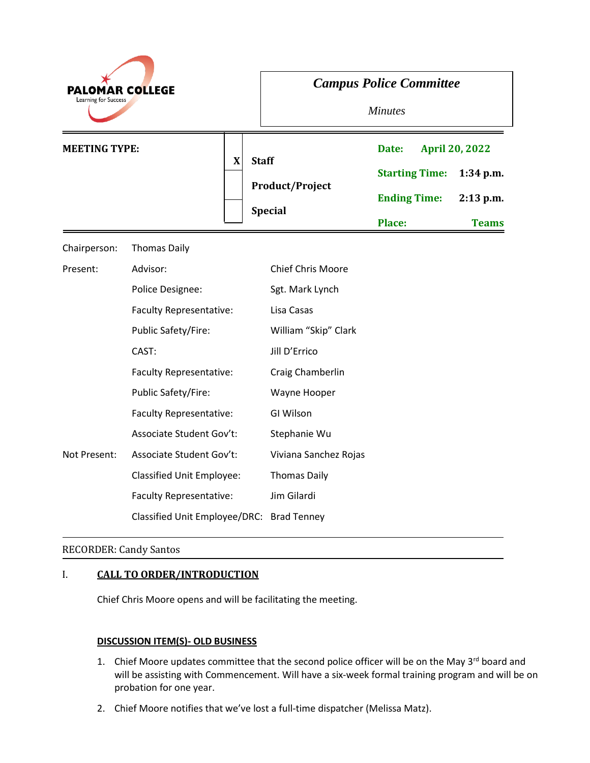| <b>PALOMAR COLLEGE</b><br>Learning for Success |                                           | <b>Campus Police Committee</b><br><b>Minutes</b>         |                                                                 |                                                                     |
|------------------------------------------------|-------------------------------------------|----------------------------------------------------------|-----------------------------------------------------------------|---------------------------------------------------------------------|
| <b>MEETING TYPE:</b>                           | $\boldsymbol{X}$                          | <b>Staff</b><br><b>Product/Project</b><br><b>Special</b> | Date:<br><b>Starting Time:</b><br><b>Ending Time:</b><br>Place: | <b>April 20, 2022</b><br>$1:34$ p.m.<br>$2:13$ p.m.<br><b>Teams</b> |
| Chairperson:                                   | <b>Thomas Daily</b>                       |                                                          |                                                                 |                                                                     |
| Present:                                       | Advisor:                                  | Chief Chris Moore                                        |                                                                 |                                                                     |
|                                                | Police Designee:                          | Sgt. Mark Lynch                                          |                                                                 |                                                                     |
|                                                | Faculty Representative:                   | Lisa Casas                                               |                                                                 |                                                                     |
|                                                | Public Safety/Fire:                       | William "Skip" Clark                                     |                                                                 |                                                                     |
|                                                | CAST:                                     | Jill D'Errico                                            |                                                                 |                                                                     |
|                                                | <b>Faculty Representative:</b>            | Craig Chamberlin                                         |                                                                 |                                                                     |
|                                                | Public Safety/Fire:                       | Wayne Hooper                                             |                                                                 |                                                                     |
|                                                | <b>Faculty Representative:</b>            | GI Wilson                                                |                                                                 |                                                                     |
|                                                | Associate Student Gov't:                  | Stephanie Wu                                             |                                                                 |                                                                     |
| Not Present:                                   | Associate Student Gov't:                  | Viviana Sanchez Rojas                                    |                                                                 |                                                                     |
|                                                | <b>Classified Unit Employee:</b>          | <b>Thomas Daily</b>                                      |                                                                 |                                                                     |
|                                                | Faculty Representative:                   | Jim Gilardi                                              |                                                                 |                                                                     |
|                                                | Classified Unit Employee/DRC: Brad Tenney |                                                          |                                                                 |                                                                     |

### RECORDER: Candy Santos

# I. **CALL TO ORDER/INTRODUCTION**

Chief Chris Moore opens and will be facilitating the meeting.

### **DISCUSSION ITEM(S)- OLD BUSINESS**

- 1. Chief Moore updates committee that the second police officer will be on the May 3<sup>rd</sup> board and will be assisting with Commencement. Will have a six-week formal training program and will be on probation for one year.
- 2. Chief Moore notifies that we've lost a full-time dispatcher (Melissa Matz).